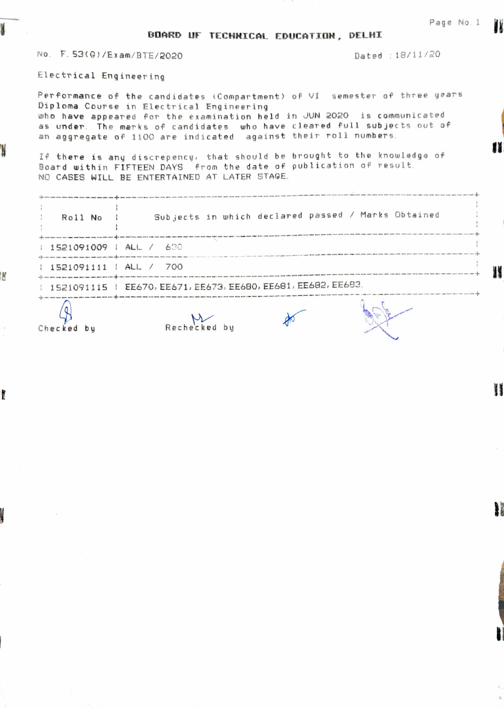Electrical Engineering

M

V

M

 $\lambda$ 

ł

PeTformance of the candidates Compar tment) of VI semester of three years Diploma Course in Electrical Engineering9 who have appeared for the examination held in JUN 2020 is commun icated as under. The marks of candidates uho have cleared full subjects out of as onder, the marks or candidates, who have cleared foir souje<br>an aggregate of 1100 are indicated, against their roll numbers

I If there is any discrepency, that should be brought to the knowledge of Board within FIFTEEN DAYS from the date of publication of Tesult. NO CASES WILL BE ENTERTAINED AT LATER STAGE.

| Roll No ;                          | Subjects in which declared passed / Marks Obtained            |  |
|------------------------------------|---------------------------------------------------------------|--|
| : 1521091009 : ALL / 630           |                                                               |  |
| $\frac{1521091111}{100}$ ALL / 700 |                                                               |  |
|                                    | 1521091115   EE670, EE671, EE673, EE680, EE681, EE682, EE683. |  |
|                                    |                                                               |  |

Checked by Rechecked by